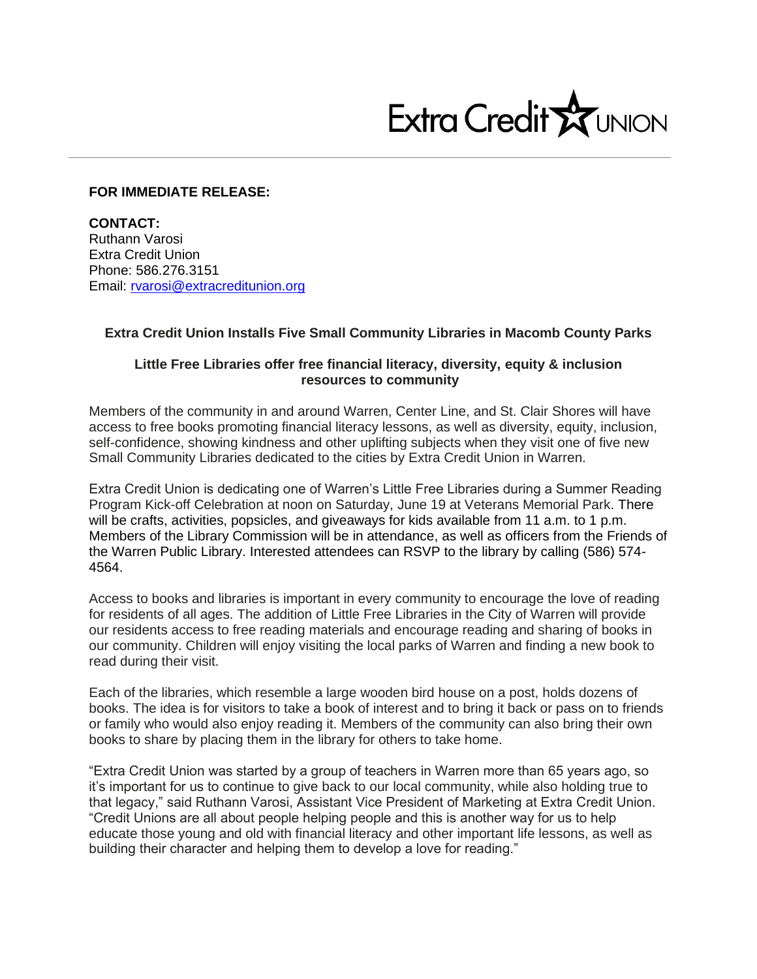

## **FOR IMMEDIATE RELEASE:**

**CONTACT:** Ruthann Varosi Extra Credit Union Phone: 586.276.3151 Email: [rvarosi@extracreditunion.org](mailto:rvarosi@extracreditunion.org)

## **Extra Credit Union Installs Five Small Community Libraries in Macomb County Parks**

## **Little Free Libraries offer free financial literacy, diversity, equity & inclusion resources to community**

Members of the community in and around Warren, Center Line, and St. Clair Shores will have access to free books promoting financial literacy lessons, as well as diversity, equity, inclusion, self-confidence, showing kindness and other uplifting subjects when they visit one of five new Small Community Libraries dedicated to the cities by Extra Credit Union in Warren.

Extra Credit Union is dedicating one of Warren's Little Free Libraries during a Summer Reading Program Kick-off Celebration at noon on Saturday, June 19 at Veterans Memorial Park. There will be crafts, activities, popsicles, and giveaways for kids available from 11 a.m. to 1 p.m. Members of the Library Commission will be in attendance, as well as officers from the Friends of the Warren Public Library. Interested attendees can RSVP to the library by calling (586) 574- 4564.

Access to books and libraries is important in every community to encourage the love of reading for residents of all ages. The addition of Little Free Libraries in the City of Warren will provide our residents access to free reading materials and encourage reading and sharing of books in our community. Children will enjoy visiting the local parks of Warren and finding a new book to read during their visit.

Each of the libraries, which resemble a large wooden bird house on a post, holds dozens of books. The idea is for visitors to take a book of interest and to bring it back or pass on to friends or family who would also enjoy reading it. Members of the community can also bring their own books to share by placing them in the library for others to take home.

"Extra Credit Union was started by a group of teachers in Warren more than 65 years ago, so it's important for us to continue to give back to our local community, while also holding true to that legacy," said Ruthann Varosi, Assistant Vice President of Marketing at Extra Credit Union. "Credit Unions are all about people helping people and this is another way for us to help educate those young and old with financial literacy and other important life lessons, as well as building their character and helping them to develop a love for reading."